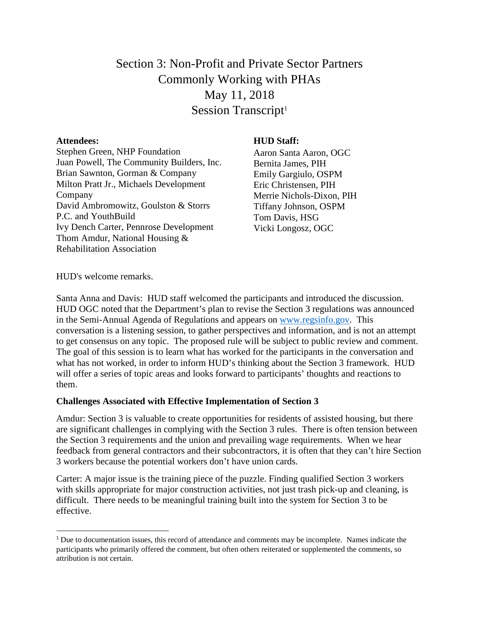# Section 3: Non-Profit and Private Sector Partners Commonly Working with PHAs May 11, 2018 Session Transcript<sup>1</sup>

#### **Attendees:**

 $\overline{a}$ 

Stephen Green, NHP Foundation Juan Powell, The Community Builders, Inc. Brian Sawnton, Gorman & Company Milton Pratt Jr., Michaels Development Company David Ambromowitz, Goulston & Storrs P.C. and YouthBuild Ivy Dench Carter, Pennrose Development Thom Amdur, National Housing & Rehabilitation Association

## **HUD Staff:**

Aaron Santa Aaron, OGC Bernita James, PIH Emily Gargiulo, OSPM Eric Christensen, PIH Merrie Nichols-Dixon, PIH Tiffany Johnson, OSPM Tom Davis, HSG Vicki Longosz, OGC

HUD's welcome remarks.

Santa Anna and Davis: HUD staff welcomed the participants and introduced the discussion. HUD OGC noted that the Department's plan to revise the Section 3 regulations was announced in the Semi-Annual Agenda of Regulations and appears on [www.regsinfo.gov.](http://www.regsinfo.gov/) This conversation is a listening session, to gather perspectives and information, and is not an attempt to get consensus on any topic. The proposed rule will be subject to public review and comment. The goal of this session is to learn what has worked for the participants in the conversation and what has not worked, in order to inform HUD's thinking about the Section 3 framework. HUD will offer a series of topic areas and looks forward to participants' thoughts and reactions to them.

### **Challenges Associated with Effective Implementation of Section 3**

Amdur: Section 3 is valuable to create opportunities for residents of assisted housing, but there are significant challenges in complying with the Section 3 rules. There is often tension between the Section 3 requirements and the union and prevailing wage requirements. When we hear feedback from general contractors and their subcontractors, it is often that they can't hire Section 3 workers because the potential workers don't have union cards.

Carter: A major issue is the training piece of the puzzle. Finding qualified Section 3 workers with skills appropriate for major construction activities, not just trash pick-up and cleaning, is difficult. There needs to be meaningful training built into the system for Section 3 to be effective.

<sup>&</sup>lt;sup>1</sup> Due to documentation issues, this record of attendance and comments may be incomplete. Names indicate the participants who primarily offered the comment, but often others reiterated or supplemented the comments, so attribution is not certain.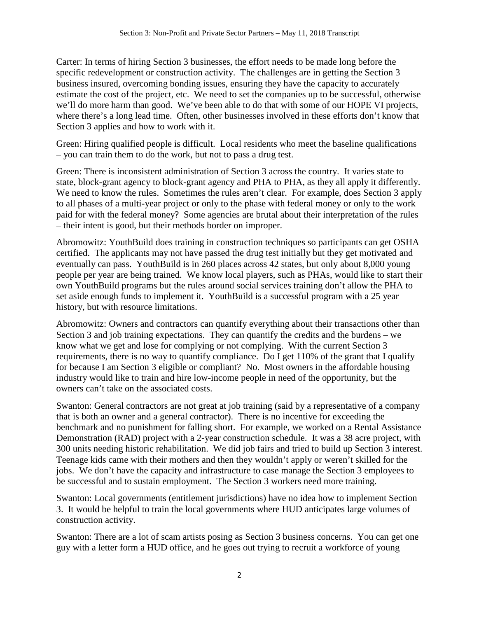Carter: In terms of hiring Section 3 businesses, the effort needs to be made long before the specific redevelopment or construction activity. The challenges are in getting the Section 3 business insured, overcoming bonding issues, ensuring they have the capacity to accurately estimate the cost of the project, etc. We need to set the companies up to be successful, otherwise we'll do more harm than good. We've been able to do that with some of our HOPE VI projects, where there's a long lead time. Often, other businesses involved in these efforts don't know that Section 3 applies and how to work with it.

Green: Hiring qualified people is difficult. Local residents who meet the baseline qualifications – you can train them to do the work, but not to pass a drug test.

Green: There is inconsistent administration of Section 3 across the country. It varies state to state, block-grant agency to block-grant agency and PHA to PHA, as they all apply it differently. We need to know the rules. Sometimes the rules aren't clear. For example, does Section 3 apply to all phases of a multi-year project or only to the phase with federal money or only to the work paid for with the federal money? Some agencies are brutal about their interpretation of the rules – their intent is good, but their methods border on improper.

Abromowitz: YouthBuild does training in construction techniques so participants can get OSHA certified. The applicants may not have passed the drug test initially but they get motivated and eventually can pass. YouthBuild is in 260 places across 42 states, but only about 8,000 young people per year are being trained. We know local players, such as PHAs, would like to start their own YouthBuild programs but the rules around social services training don't allow the PHA to set aside enough funds to implement it. YouthBuild is a successful program with a 25 year history, but with resource limitations.

Abromowitz: Owners and contractors can quantify everything about their transactions other than Section 3 and job training expectations. They can quantify the credits and the burdens – we know what we get and lose for complying or not complying. With the current Section 3 requirements, there is no way to quantify compliance. Do I get 110% of the grant that I qualify for because I am Section 3 eligible or compliant? No. Most owners in the affordable housing industry would like to train and hire low-income people in need of the opportunity, but the owners can't take on the associated costs.

Swanton: General contractors are not great at job training (said by a representative of a company that is both an owner and a general contractor). There is no incentive for exceeding the benchmark and no punishment for falling short. For example, we worked on a Rental Assistance Demonstration (RAD) project with a 2-year construction schedule. It was a 38 acre project, with 300 units needing historic rehabilitation. We did job fairs and tried to build up Section 3 interest. Teenage kids came with their mothers and then they wouldn't apply or weren't skilled for the jobs. We don't have the capacity and infrastructure to case manage the Section 3 employees to be successful and to sustain employment. The Section 3 workers need more training.

Swanton: Local governments (entitlement jurisdictions) have no idea how to implement Section 3. It would be helpful to train the local governments where HUD anticipates large volumes of construction activity.

Swanton: There are a lot of scam artists posing as Section 3 business concerns. You can get one guy with a letter form a HUD office, and he goes out trying to recruit a workforce of young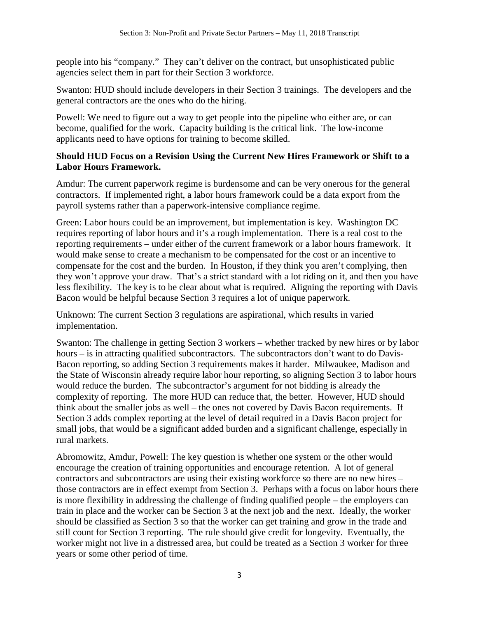people into his "company." They can't deliver on the contract, but unsophisticated public agencies select them in part for their Section 3 workforce.

Swanton: HUD should include developers in their Section 3 trainings. The developers and the general contractors are the ones who do the hiring.

Powell: We need to figure out a way to get people into the pipeline who either are, or can become, qualified for the work. Capacity building is the critical link. The low-income applicants need to have options for training to become skilled.

# **Should HUD Focus on a Revision Using the Current New Hires Framework or Shift to a Labor Hours Framework.**

Amdur: The current paperwork regime is burdensome and can be very onerous for the general contractors. If implemented right, a labor hours framework could be a data export from the payroll systems rather than a paperwork-intensive compliance regime.

Green: Labor hours could be an improvement, but implementation is key. Washington DC requires reporting of labor hours and it's a rough implementation. There is a real cost to the reporting requirements – under either of the current framework or a labor hours framework. It would make sense to create a mechanism to be compensated for the cost or an incentive to compensate for the cost and the burden. In Houston, if they think you aren't complying, then they won't approve your draw. That's a strict standard with a lot riding on it, and then you have less flexibility. The key is to be clear about what is required. Aligning the reporting with Davis Bacon would be helpful because Section 3 requires a lot of unique paperwork.

Unknown: The current Section 3 regulations are aspirational, which results in varied implementation.

Swanton: The challenge in getting Section 3 workers – whether tracked by new hires or by labor hours – is in attracting qualified subcontractors. The subcontractors don't want to do Davis-Bacon reporting, so adding Section 3 requirements makes it harder. Milwaukee, Madison and the State of Wisconsin already require labor hour reporting, so aligning Section 3 to labor hours would reduce the burden. The subcontractor's argument for not bidding is already the complexity of reporting. The more HUD can reduce that, the better. However, HUD should think about the smaller jobs as well – the ones not covered by Davis Bacon requirements. If Section 3 adds complex reporting at the level of detail required in a Davis Bacon project for small jobs, that would be a significant added burden and a significant challenge, especially in rural markets.

Abromowitz, Amdur, Powell: The key question is whether one system or the other would encourage the creation of training opportunities and encourage retention. A lot of general contractors and subcontractors are using their existing workforce so there are no new hires – those contractors are in effect exempt from Section 3. Perhaps with a focus on labor hours there is more flexibility in addressing the challenge of finding qualified people – the employers can train in place and the worker can be Section 3 at the next job and the next. Ideally, the worker should be classified as Section 3 so that the worker can get training and grow in the trade and still count for Section 3 reporting. The rule should give credit for longevity. Eventually, the worker might not live in a distressed area, but could be treated as a Section 3 worker for three years or some other period of time.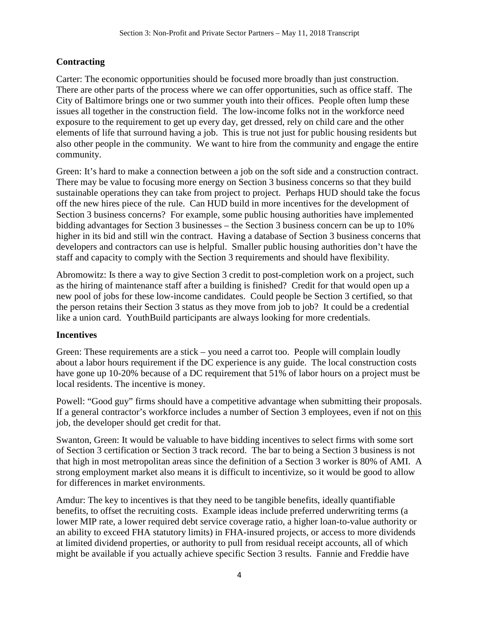# **Contracting**

Carter: The economic opportunities should be focused more broadly than just construction. There are other parts of the process where we can offer opportunities, such as office staff. The City of Baltimore brings one or two summer youth into their offices. People often lump these issues all together in the construction field. The low-income folks not in the workforce need exposure to the requirement to get up every day, get dressed, rely on child care and the other elements of life that surround having a job. This is true not just for public housing residents but also other people in the community. We want to hire from the community and engage the entire community.

Green: It's hard to make a connection between a job on the soft side and a construction contract. There may be value to focusing more energy on Section 3 business concerns so that they build sustainable operations they can take from project to project. Perhaps HUD should take the focus off the new hires piece of the rule. Can HUD build in more incentives for the development of Section 3 business concerns? For example, some public housing authorities have implemented bidding advantages for Section 3 businesses – the Section 3 business concern can be up to 10% higher in its bid and still win the contract. Having a database of Section 3 business concerns that developers and contractors can use is helpful. Smaller public housing authorities don't have the staff and capacity to comply with the Section 3 requirements and should have flexibility.

Abromowitz: Is there a way to give Section 3 credit to post-completion work on a project, such as the hiring of maintenance staff after a building is finished? Credit for that would open up a new pool of jobs for these low-income candidates. Could people be Section 3 certified, so that the person retains their Section 3 status as they move from job to job? It could be a credential like a union card. YouthBuild participants are always looking for more credentials.

# **Incentives**

Green: These requirements are a stick – you need a carrot too. People will complain loudly about a labor hours requirement if the DC experience is any guide. The local construction costs have gone up 10-20% because of a DC requirement that 51% of labor hours on a project must be local residents. The incentive is money.

Powell: "Good guy" firms should have a competitive advantage when submitting their proposals. If a general contractor's workforce includes a number of Section 3 employees, even if not on this job, the developer should get credit for that.

Swanton, Green: It would be valuable to have bidding incentives to select firms with some sort of Section 3 certification or Section 3 track record. The bar to being a Section 3 business is not that high in most metropolitan areas since the definition of a Section 3 worker is 80% of AMI. A strong employment market also means it is difficult to incentivize, so it would be good to allow for differences in market environments.

Amdur: The key to incentives is that they need to be tangible benefits, ideally quantifiable benefits, to offset the recruiting costs. Example ideas include preferred underwriting terms (a lower MIP rate, a lower required debt service coverage ratio, a higher loan-to-value authority or an ability to exceed FHA statutory limits) in FHA-insured projects, or access to more dividends at limited dividend properties, or authority to pull from residual receipt accounts, all of which might be available if you actually achieve specific Section 3 results. Fannie and Freddie have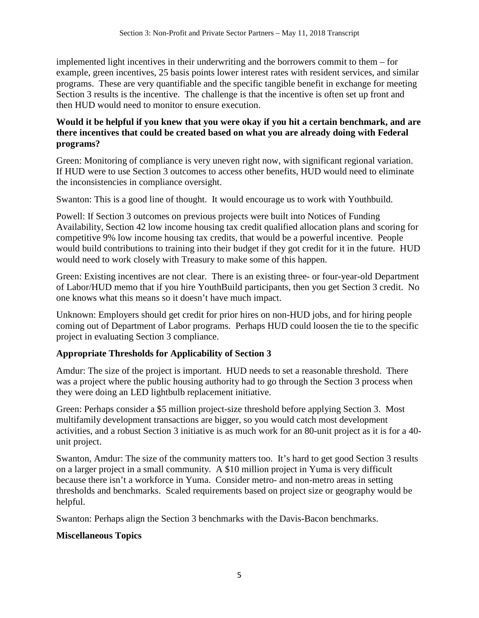implemented light incentives in their underwriting and the borrowers commit to them – for example, green incentives, 25 basis points lower interest rates with resident services, and similar programs. These are very quantifiable and the specific tangible benefit in exchange for meeting Section 3 results is the incentive. The challenge is that the incentive is often set up front and then HUD would need to monitor to ensure execution.

# **Would it be helpful if you knew that you were okay if you hit a certain benchmark, and are there incentives that could be created based on what you are already doing with Federal programs?**

Green: Monitoring of compliance is very uneven right now, with significant regional variation. If HUD were to use Section 3 outcomes to access other benefits, HUD would need to eliminate the inconsistencies in compliance oversight.

Swanton: This is a good line of thought. It would encourage us to work with Youthbuild.

Powell: If Section 3 outcomes on previous projects were built into Notices of Funding Availability, Section 42 low income housing tax credit qualified allocation plans and scoring for competitive 9% low income housing tax credits, that would be a powerful incentive. People would build contributions to training into their budget if they got credit for it in the future. HUD would need to work closely with Treasury to make some of this happen.

Green: Existing incentives are not clear. There is an existing three- or four-year-old Department of Labor/HUD memo that if you hire YouthBuild participants, then you get Section 3 credit. No one knows what this means so it doesn't have much impact.

Unknown: Employers should get credit for prior hires on non-HUD jobs, and for hiring people coming out of Department of Labor programs. Perhaps HUD could loosen the tie to the specific project in evaluating Section 3 compliance.

# **Appropriate Thresholds for Applicability of Section 3**

Amdur: The size of the project is important. HUD needs to set a reasonable threshold. There was a project where the public housing authority had to go through the Section 3 process when they were doing an LED lightbulb replacement initiative.

Green: Perhaps consider a \$5 million project-size threshold before applying Section 3. Most multifamily development transactions are bigger, so you would catch most development activities, and a robust Section 3 initiative is as much work for an 80-unit project as it is for a 40 unit project.

Swanton, Amdur: The size of the community matters too. It's hard to get good Section 3 results on a larger project in a small community. A \$10 million project in Yuma is very difficult because there isn't a workforce in Yuma. Consider metro- and non-metro areas in setting thresholds and benchmarks. Scaled requirements based on project size or geography would be helpful.

Swanton: Perhaps align the Section 3 benchmarks with the Davis-Bacon benchmarks.

# **Miscellaneous Topics**